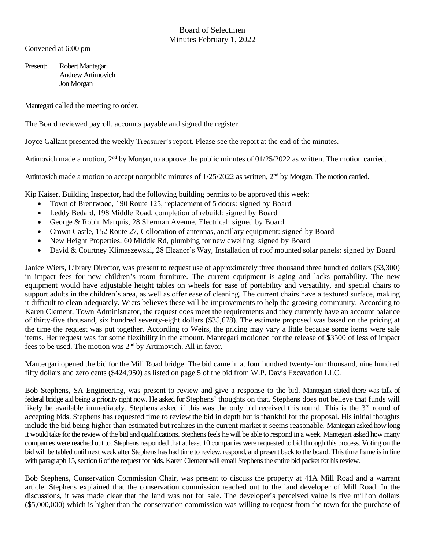Convened at 6:00 pm

Present: Robert Mantegari Andrew Artimovich Jon Morgan

Mantegari called the meeting to order.

The Board reviewed payroll, accounts payable and signed the register.

Joyce Gallant presented the weekly Treasurer's report. Please see the report at the end of the minutes.

Artimovich made a motion,  $2<sup>nd</sup>$  by Morgan, to approve the public minutes of  $01/25/2022$  as written. The motion carried.

Artimovich made a motion to accept nonpublic minutes of 1/25/2022 as written, 2<sup>nd</sup> by Morgan. The motion carried.

Kip Kaiser, Building Inspector, had the following building permits to be approved this week:

- Town of Brentwood, 190 Route 125, replacement of 5 doors: signed by Board
- Leddy Bedard, 198 Middle Road, completion of rebuild: signed by Board
- George & Robin Marquis, 28 Sherman Avenue, Electrical: signed by Board
- Crown Castle, 152 Route 27, Collocation of antennas, ancillary equipment: signed by Board
- New Height Properties, 60 Middle Rd, plumbing for new dwelling: signed by Board
- David & Courtney Klimaszewski, 28 Eleanor's Way, Installation of roof mounted solar panels: signed by Board

Janice Wiers, Library Director, was present to request use of approximately three thousand three hundred dollars (\$3,300) in impact fees for new children's room furniture. The current equipment is aging and lacks portability. The new equipment would have adjustable height tables on wheels for ease of portability and versatility, and special chairs to support adults in the children's area, as well as offer ease of cleaning. The current chairs have a textured surface, making it difficult to clean adequately. Wiers believes these will be improvements to help the growing community. According to Karen Clement, Town Administrator, the request does meet the requirements and they currently have an account balance of thirty-five thousand, six hundred seventy-eight dollars (\$35,678). The estimate proposed was based on the pricing at the time the request was put together. According to Weirs, the pricing may vary a little because some items were sale items. Her request was for some flexibility in the amount. Mantegari motioned for the release of \$3500 of less of impact fees to be used. The motion was 2<sup>nd</sup> by Artimovich. All in favor.

Mantergari opened the bid for the Mill Road bridge. The bid came in at four hundred twenty-four thousand, nine hundred fifty dollars and zero cents (\$424,950) as listed on page 5 of the bid from W.P. Davis Excavation LLC.

Bob Stephens, SA Engineering, was present to review and give a response to the bid. Mantegari stated there was talk of federal bridge aid being a priority right now. He asked for Stephens' thoughts on that. Stephens does not believe that funds will likely be available immediately. Stephens asked if this was the only bid received this round. This is the 3<sup>rd</sup> round of accepting bids. Stephens has requested time to review the bid in depth but is thankful for the proposal. His initial thoughts include the bid being higher than estimated but realizes in the current market it seems reasonable. Mantegari asked how long it would take for the review of the bid and qualifications. Stephens feels he will be able to respond in a week. Mantegari asked how many companies were reached out to. Stephens responded that at least 10 companies were requested to bid through this process. Voting on the bid will be tabled until next week after Stephens has had time to review, respond, and present back to the board. This time frame is in line with paragraph 15, section 6 of the request for bids. Karen Clement will email Stephens the entire bid packet for his review.

Bob Stephens, Conservation Commission Chair, was present to discuss the property at 41A Mill Road and a warrant article. Stephens explained that the conservation commission reached out to the land developer of Mill Road. In the discussions, it was made clear that the land was not for sale. The developer's perceived value is five million dollars (\$5,000,000) which is higher than the conservation commission was willing to request from the town for the purchase of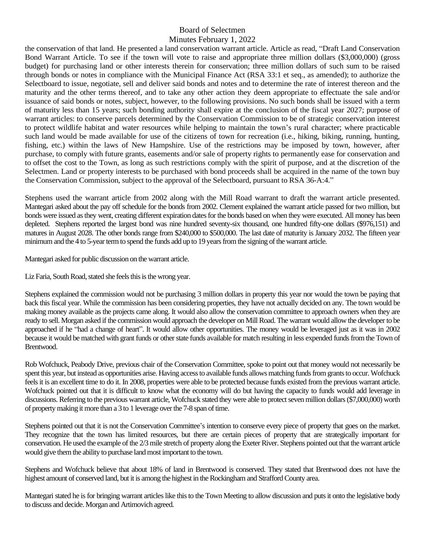the conservation of that land. He presented a land conservation warrant article. Article as read, "Draft Land Conservation Bond Warrant Article. To see if the town will vote to raise and appropriate three million dollars (\$3,000,000) (gross budget) for purchasing land or other interests therein for conservation; three million dollars of such sum to be raised through bonds or notes in compliance with the Municipal Finance Act (RSA 33:1 et seq., as amended); to authorize the Selectboard to issue, negotiate, sell and deliver said bonds and notes and to determine the rate of interest thereon and the maturity and the other terms thereof, and to take any other action they deem appropriate to effectuate the sale and/or issuance of said bonds or notes, subject, however, to the following provisions. No such bonds shall be issued with a term of maturity less than 15 years; such bonding authority shall expire at the conclusion of the fiscal year 2027; purpose of warrant articles: to conserve parcels determined by the Conservation Commission to be of strategic conservation interest to protect wildlife habitat and water resources while helping to maintain the town's rural character; where practicable such land would be made available for use of the citizens of town for recreation (i.e., hiking, biking, running, hunting, fishing, etc.) within the laws of New Hampshire. Use of the restrictions may be imposed by town, however, after purchase, to comply with future grants, easements and/or sale of property rights to permanently ease for conservation and to offset the cost to the Town, as long as such restrictions comply with the spirit of purpose, and at the discretion of the Selectmen. Land or property interests to be purchased with bond proceeds shall be acquired in the name of the town buy the Conservation Commission, subject to the approval of the Selectboard, pursuant to RSA 36-A:4."

Stephens used the warrant article from 2002 along with the Mill Road warrant to draft the warrant article presented. Mantegari asked about the pay off schedule for the bonds from 2002. Clement explained the warrant article passed for two million, but bonds were issued as they went, creating different expiration dates for the bonds based on when they were executed. All money has been depleted. Stephens reported the largest bond was nine hundred seventy-six thousand, one hundred fifty-one dollars (\$976,151) and matures in August 2028. The other bonds range from \$240,000 to \$500,000. The last date of maturity is January 2032. The fifteen year minimum and the 4 to 5-year term to spend the funds add up to 19 years from the signing of the warrant article.

Mantegari asked for public discussion on the warrant article.

Liz Faria, South Road, stated she feels this is the wrong year.

Stephens explained the commission would not be purchasing 3 million dollars in property this year nor would the town be paying that back this fiscal year. While the commission has been considering properties, they have not actually decided on any. The town would be making money available as the projects came along. It would also allow the conservation committee to approach owners when they are ready to sell. Morgan asked if the commission would approach the developer on Mill Road. The warrant would allow the developer to be approached if he "had a change of heart". It would allow other opportunities. The money would be leveraged just as it was in 2002 because it would be matched with grant funds or other state funds available for match resulting in less expended funds from the Town of Brentwood.

Rob Wofchuck, Peabody Drive, previous chair of the Conservation Committee, spoke to point out that money would not necessarily be spent this year, but instead as opportunities arise. Having access to available funds allows matching funds from grants to occur. Wofchuck feels it is an excellent time to do it. In 2008, properties were able to be protected because funds existed from the previous warrant article. Wofchuck pointed out that it is difficult to know what the economy will do but having the capacity to funds would add leverage in discussions. Referring to the previous warrant article, Wofchuck stated they were able to protect seven million dollars(\$7,000,000) worth of property making it more than a 3 to 1 leverage over the 7-8 span of time.

Stephens pointed out that it is not the Conservation Committee's intention to conserve every piece of property that goes on the market. They recognize that the town has limited resources, but there are certain pieces of property that are strategically important for conservation. He used the example of the 2/3 mile stretch of property along the Exeter River. Stephens pointed out that the warrant article would give them the ability to purchase land most important to the town.

Stephens and Wofchuck believe that about 18% of land in Brentwood is conserved. They stated that Brentwood does not have the highest amount of conserved land, but it is among the highest in the Rockingham and Strafford County area.

Mantegari stated he is for bringing warrant articles like this to the Town Meeting to allow discussion and puts it onto the legislative body to discuss and decide. Morgan and Artimovich agreed.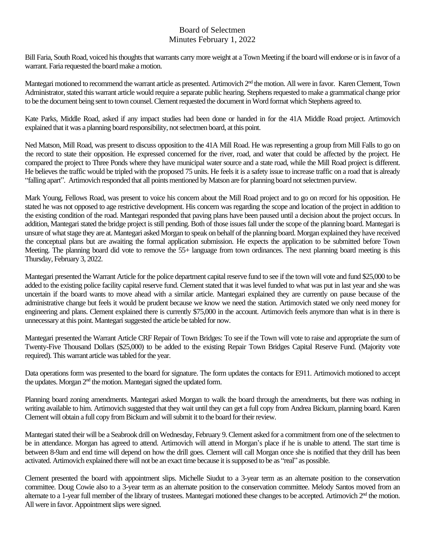Bill Faria, South Road, voiced his thoughts that warrants carry more weight at a Town Meeting if the board will endorse or is in favor of a warrant. Faria requested the board make a motion.

Mantegari motioned to recommend the warrant article as presented. Artimovich 2<sup>nd</sup> the motion. All were in favor. Karen Clement, Town Administrator, stated this warrant article would require a separate public hearing. Stephens requested to make a grammatical change prior to be the document being sent to town counsel. Clement requested the document in Word format which Stephens agreed to.

Kate Parks, Middle Road, asked if any impact studies had been done or handed in for the 41A Middle Road project. Artimovich explained that it was a planning board responsibility, not selectmen board, at this point.

Ned Matson, Mill Road, was present to discuss opposition to the 41A Mill Road. He was representing a group from Mill Falls to go on the record to state their opposition. He expressed concerned for the river, road, and water that could be affected by the project. He compared the project to Three Ponds where they have municipal water source and a state road, while the Mill Road project is different. He believes the traffic would be tripled with the proposed 75 units. He feels it is a safety issue to increase traffic on a road that is already "falling apart". Artimovich responded that all points mentioned by Matson are for planning board not selectmen purview.

Mark Young, Fellows Road, was present to voice his concern about the Mill Road project and to go on record for his opposition. He stated he was not opposed to age restrictive development. His concern was regarding the scope and location of the project in addition to the existing condition of the road. Mantegari responded that paving plans have been paused until a decision about the project occurs. In addition, Mantegari stated the bridge project is still pending. Both of those issues fall under the scope of the planning board. Mantegari is unsure of what stage they are at. Mantegari asked Morgan to speak on behalf of the planning board. Morgan explained they have received the conceptual plans but are awaiting the formal application submission. He expects the application to be submitted before Town Meeting. The planning board did vote to remove the 55+ language from town ordinances. The next planning board meeting is this Thursday, February 3, 2022.

Mantegari presented the Warrant Article for the police department capital reserve fund to see if the town will vote and fund \$25,000 to be added to the existing police facility capital reserve fund. Clement stated that it was level funded to what was put in last year and she was uncertain if the board wants to move ahead with a similar article. Mantegari explained they are currently on pause because of the administrative change but feels it would be prudent because we know we need the station. Artimovich stated we only need money for engineering and plans. Clement explained there is currently \$75,000 in the account. Artimovich feels anymore than what is in there is unnecessary at this point. Mantegari suggested the article be tabled for now.

Mantegari presented the Warrant Article CRF Repair of Town Bridges: To see if the Town will vote to raise and appropriate the sum of Twenty-Five Thousand Dollars (\$25,000) to be added to the existing Repair Town Bridges Capital Reserve Fund. (Majority vote required). This warrant article was tabled for the year.

Data operations form was presented to the board for signature. The form updates the contacts for E911. Artimovich motioned to accept the updates. Morgan 2<sup>nd</sup> the motion. Mantegari signed the updated form.

Planning board zoning amendments. Mantegari asked Morgan to walk the board through the amendments, but there was nothing in writing available to him. Artimovich suggested that they wait until they can get a full copy from Andrea Bickum, planning board. Karen Clement will obtain a full copy from Bickum and willsubmit it to the board for their review.

Mantegaristated their will be a Seabrook drill on Wednesday, February 9.Clement asked for a commitment from one of the selectmen to be in attendance. Morgan has agreed to attend. Artimovich will attend in Morgan's place if he is unable to attend. The start time is between 8-9am and end time will depend on how the drill goes. Clement will call Morgan once she is notified that they drill has been activated. Artimovich explained there will not be an exact time because it is supposed to be as "real" as possible.

Clement presented the board with appointment slips. Michelle Siudut to a 3-year term as an alternate position to the conservation committee. Doug Cowie also to a 3-year term as an alternate position to the conservation committee. Melody Santos moved from an alternate to a 1-year full member of the library of trustees. Mantegari motioned these changes to be accepted. Artimovich 2<sup>nd</sup> the motion. All were in favor. Appointment slips were signed.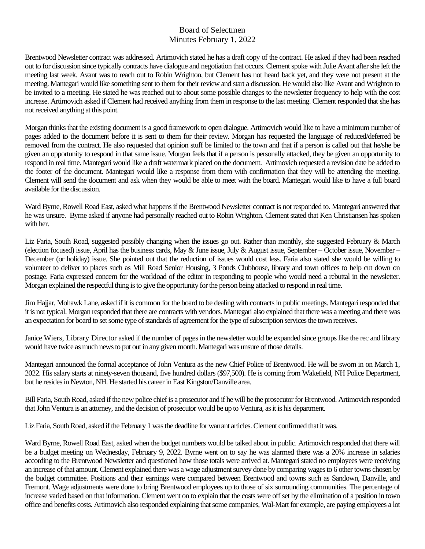Brentwood Newsletter contract was addressed. Artimovich stated he has a draft copy of the contract. He asked if they had been reached out to for discussion since typically contracts have dialogue and negotiation that occurs. Clement spoke with Julie Avant after she left the meeting last week. Avant was to reach out to Robin Wrighton, but Clement has not heard back yet, and they were not present at the meeting. Mantegari would like something sent to them for their review and start a discussion. He would also like Avant and Wrighton to be invited to a meeting. He stated he was reached out to about some possible changes to the newsletter frequency to help with the cost increase. Artimovich asked if Clement had received anything from them in response to the last meeting. Clement responded that she has not received anything at this point.

Morgan thinks that the existing document is a good framework to open dialogue. Artimovich would like to have a minimum number of pages added to the document before it is sent to them for their review. Morgan has requested the language of reduced/deferred be removed from the contract. He also requested that opinion stuff be limited to the town and that if a person is called out that he/she be given an opportunity to respond in that same issue. Morgan feels that if a person is personally attacked, they be given an opportunity to respond in real time. Mantegari would like a draft watermark placed on the document. Artimovich requested a revision date be added to the footer of the document. Mantegari would like a response from them with confirmation that they will be attending the meeting. Clement will send the document and ask when they would be able to meet with the board. Mantegari would like to have a full board available for the discussion.

Ward Byrne, Rowell Road East, asked what happens if the Brentwood Newsletter contract is not responded to. Mantegari answered that he was unsure. Byrne asked if anyone had personally reached out to Robin Wrighton. Clement stated that Ken Christiansen has spoken with her.

Liz Faria, South Road, suggested possibly changing when the issues go out. Rather than monthly, she suggested February & March (election focused) issue, April has the business cards, May & June issue, July & August issue, September – October issue, November – December (or holiday) issue. She pointed out that the reduction of issues would cost less. Faria also stated she would be willing to volunteer to deliver to places such as Mill Road Senior Housing, 3 Ponds Clubhouse, library and town offices to help cut down on postage. Faria expressed concern for the workload of the editor in responding to people who would need a rebuttal in the newsletter. Morgan explained the respectful thing is to give the opportunity for the person being attacked to respond in real time.

Jim Hajjar, Mohawk Lane, asked if it is common for the board to be dealing with contracts in public meetings. Mantegari responded that it is not typical. Morgan responded that there are contracts with vendors. Mantegari also explained that there was a meeting and there was an expectation for board to set some type of standards of agreement for the type of subscription services the town receives.

Janice Wiers, Library Director asked if the number of pages in the newsletter would be expanded since groups like the rec and library would have twice as much news to put out in any given month. Mantegari was unsure of those details.

Mantegari announced the formal acceptance of John Ventura as the new Chief Police of Brentwood. He will be sworn in on March 1, 2022. His salary starts at ninety-seven thousand, five hundred dollars (\$97,500). He is coming from Wakefield, NH Police Department, but he resides in Newton, NH. He started his career in East Kingston/Danville area.

Bill Faria, South Road, asked if the new police chief is a prosecutor and if he will be the prosecutorfor Brentwood. Artimovich responded that John Ventura is an attorney, and the decision of prosecutor would be up to Ventura, as it is his department.

Liz Faria, South Road, asked if the February 1 was the deadline for warrant articles. Clement confirmed that it was.

Ward Byrne, Rowell Road East, asked when the budget numbers would be talked about in public. Artimovich responded that there will be a budget meeting on Wednesday, February 9, 2022. Byrne went on to say he was alarmed there was a 20% increase in salaries according to the Brentwood Newsletter and questioned how those totals were arrived at. Mantegari stated no employees were receiving an increase of that amount. Clement explained there was a wage adjustment survey done by comparing wages to 6 other towns chosen by the budget committee. Positions and their earnings were compared between Brentwood and towns such as Sandown, Danville, and Fremont. Wage adjustments were done to bring Brentwood employees up to those of six surrounding communities. The percentage of increase varied based on that information. Clement went on to explain that the costs were off set by the elimination of a position in town office and benefits costs. Artimovich also responded explaining that some companies, Wal-Mart for example, are paying employees a lot